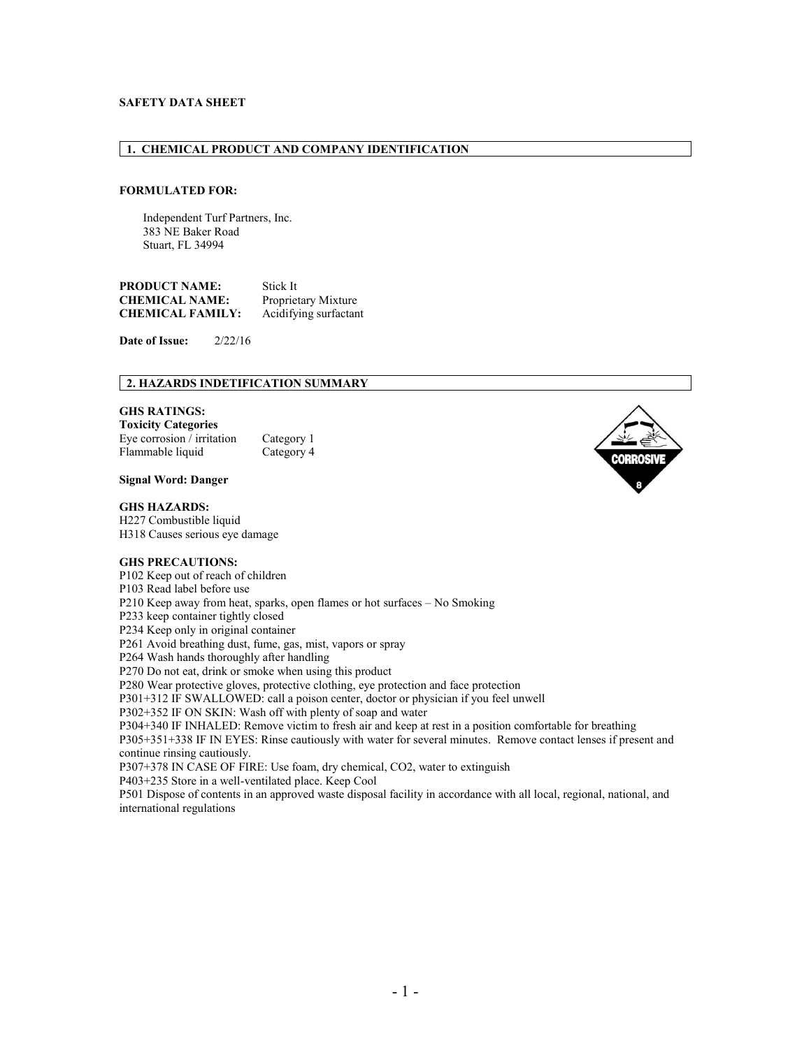# **SAFETY DATA SHEET**

# **1. CHEMICAL PRODUCT AND COMPANY IDENTIFICATION**

## **FORMULATED FOR:**

Independent Turf Partners, Inc. 383 NE Baker Road Stuart, FL 34994

**PRODUCT NAME:** Stick It **CHEMICAL NAME:** Proprietary Mixture **CHEMICAL FAMILY:** Acidifying surfactant

**Date of Issue:** 2/22/16

# **2. HAZARDS INDETIFICATION SUMMARY**

## **GHS RATINGS:**

**Toxicity Categories** Eye corrosion / irritation Category 1<br>Flammable liquid Category 4 Flammable liquid

### **Signal Word: Danger**

#### **GHS HAZARDS:**

H227 Combustible liquid H318 Causes serious eye damage

#### **GHS PRECAUTIONS:**

P102 Keep out of reach of children

P103 Read label before use

P210 Keep away from heat, sparks, open flames or hot surfaces – No Smoking

P233 keep container tightly closed

P234 Keep only in original container

P261 Avoid breathing dust, fume, gas, mist, vapors or spray

P264 Wash hands thoroughly after handling

P270 Do not eat, drink or smoke when using this product

P280 Wear protective gloves, protective clothing, eye protection and face protection

P301+312 IF SWALLOWED: call a poison center, doctor or physician if you feel unwell

P302+352 IF ON SKIN: Wash off with plenty of soap and water

P304+340 IF INHALED: Remove victim to fresh air and keep at rest in a position comfortable for breathing

P305+351+338 IF IN EYES: Rinse cautiously with water for several minutes. Remove contact lenses if present and continue rinsing cautiously.

P307+378 IN CASE OF FIRE: Use foam, dry chemical, CO2, water to extinguish

P403+235 Store in a well-ventilated place. Keep Cool

P501 Dispose of contents in an approved waste disposal facility in accordance with all local, regional, national, and international regulations

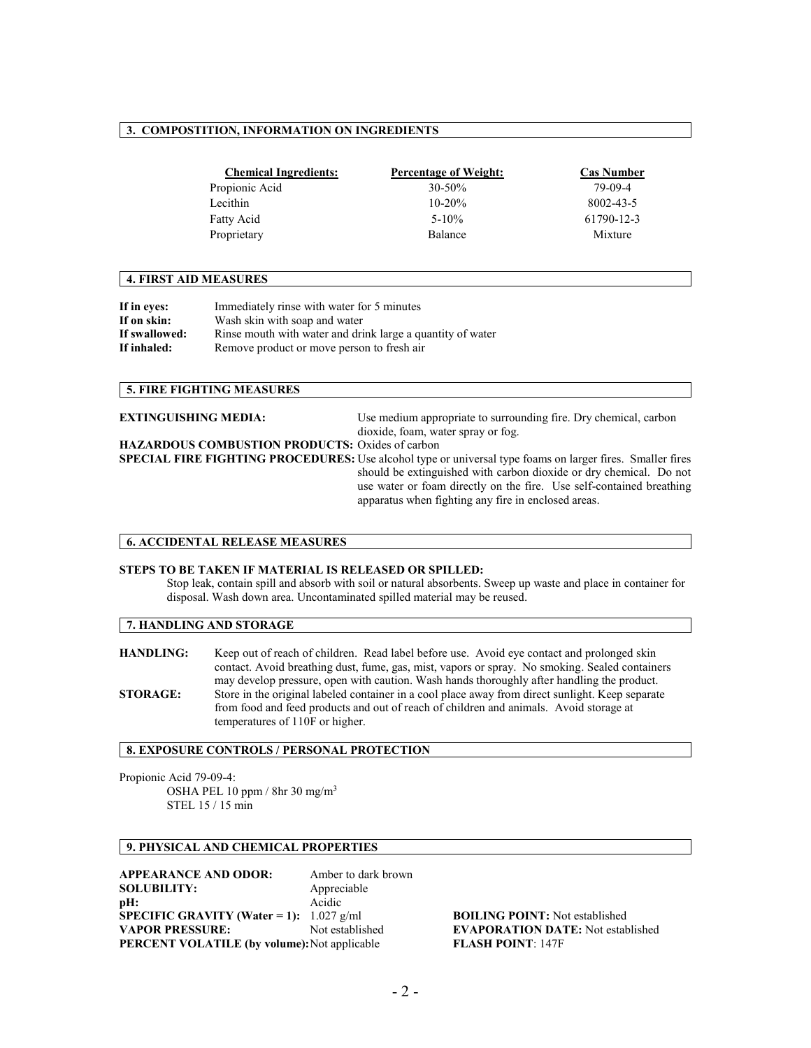# **3. COMPOSTITION, INFORMATION ON INGREDIENTS**

| <b>Chemical Ingredients:</b> | <b>Percentage of Weight:</b> | <b>Cas Number</b> |
|------------------------------|------------------------------|-------------------|
| Propionic Acid               | $30 - 50\%$                  | 79-09-4           |
| Lecithin                     | $10 - 20%$                   | 8002-43-5         |
| Fatty Acid                   | $5 - 10\%$                   | 61790-12-3        |
| Proprietary                  | Balance                      | Mixture           |

#### **4. FIRST AID MEASURES**

| If in eves:   | Immediately rinse with water for 5 minutes                 |
|---------------|------------------------------------------------------------|
| If on skin:   | Wash skin with soap and water                              |
| If swallowed: | Rinse mouth with water and drink large a quantity of water |
| If inhaled:   | Remove product or move person to fresh air                 |

## **5. FIRE FIGHTING MEASURES**

| <b>EXTINGUISHING MEDIA:</b>                     | Use medium appropriate to surrounding fire. Dry chemical, carbon                                                                                                                                                                                                                                               |
|-------------------------------------------------|----------------------------------------------------------------------------------------------------------------------------------------------------------------------------------------------------------------------------------------------------------------------------------------------------------------|
|                                                 | dioxide, foam, water spray or fog.                                                                                                                                                                                                                                                                             |
| HAZARDOUS COMBUSTION PRODUCTS: Oxides of carbon |                                                                                                                                                                                                                                                                                                                |
|                                                 | SPECIAL FIRE FIGHTING PROCEDURES: Use alcohol type or universal type foams on larger fires. Smaller fires<br>should be extinguished with carbon dioxide or dry chemical. Do not<br>use water or foam directly on the fire. Use self-contained breathing<br>apparatus when fighting any fire in enclosed areas. |

#### **6. ACCIDENTAL RELEASE MEASURES**

#### **STEPS TO BE TAKEN IF MATERIAL IS RELEASED OR SPILLED:**

Stop leak, contain spill and absorb with soil or natural absorbents. Sweep up waste and place in container for disposal. Wash down area. Uncontaminated spilled material may be reused.

## **7. HANDLING AND STORAGE**

**HANDLING:** Keep out of reach of children. Read label before use. Avoid eye contact and prolonged skin contact. Avoid breathing dust, fume, gas, mist, vapors or spray. No smoking. Sealed containers may develop pressure, open with caution. Wash hands thoroughly after handling the product. **STORAGE:** Store in the original labeled container in a cool place away from direct sunlight. Keep separate from food and feed products and out of reach of children and animals. Avoid storage at temperatures of 110F or higher.

# **8. EXPOSURE CONTROLS / PERSONAL PROTECTION**

Propionic Acid 79-09-4: OSHA PEL 10 ppm / 8hr 30 mg/m3 STEL 15 / 15 min

# **9. PHYSICAL AND CHEMICAL PROPERTIES**

**APPEARANCE AND ODOR:** Amber to dark brown **SOLUBILITY:** Appreciable **pH:** Acidic **SPECIFIC GRAVITY (Water = 1):**  $1.027 \text{ g/ml}$  **BOILING POINT:** Not established **VAPOR PRESSURE:** Not established **EVAPORATION DATE:** Not established **PERCENT VOLATILE (by volume):**Not applicable **FLASH POINT**: 147F